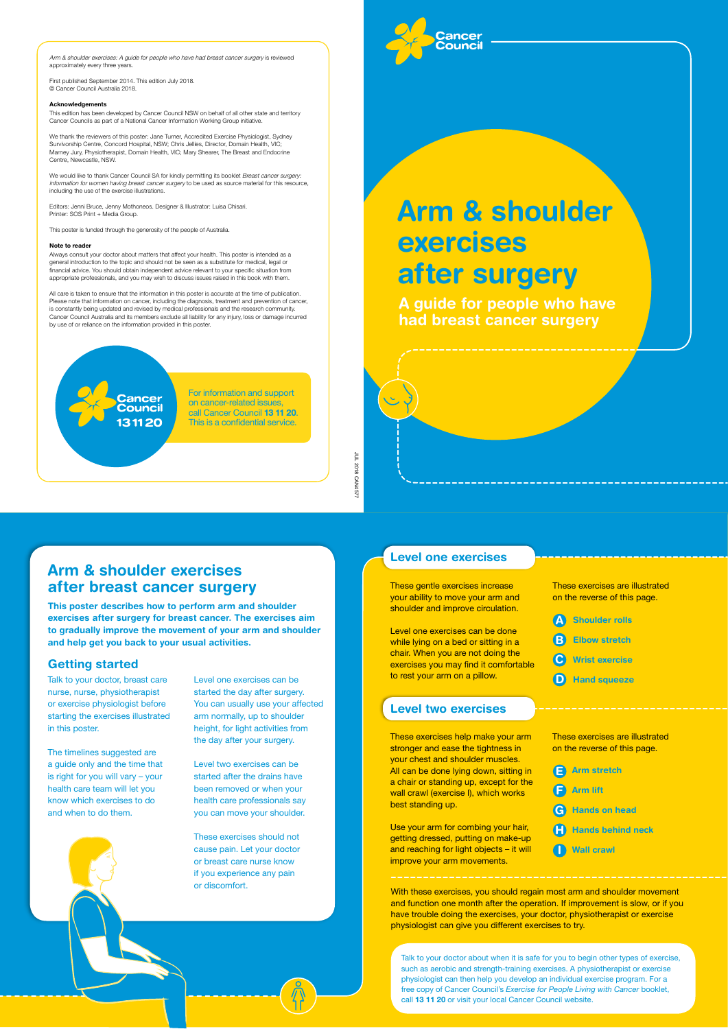# Arm & shoulder exercises after surgery

JUL 2018 CAN4577 JUL 2018 CAN4577



Arm & shoulder exercises: A guide for people who have had breast cancer surgery is reviewed approximately every three years.

First published September 2014. This edition July 2018. © Cancer Council Australia 2018.

### Acknowledgements

This edition has been developed by Cancer Council NSW on behalf of all other state and territory Cancer Councils as part of a National Cancer Information Working Group initiative.

We would like to thank Cancer Council SA for kindly permitting its booklet Breast cancer surgery: information for women having breast cancer surgery to be used as source material for this resource, including the use of the exercise illustrations.

Editors: Jenni Bruce, Jenny Mothoneos. Designer & Illustrator: Luisa Chisari. Printer: SOS Print + Media Group.

We thank the reviewers of this poster: Jane Turner, Accredited Exercise Physiologist, Sydney Survivorship Centre, Concord Hospital, NSW; Chris Jellies, Director, Domain Health, VIC; Marney Jury, Physiotherapist, Domain Health, VIC; Mary Shearer, The Breast and Endocrine Centre, Newcastle, NSW.

This poster is funded through the generosity of the people of Australia.

### Note to reader

Always consult your doctor about matters that affect your health. This poster is intended as a general introduction to the topic and should not be seen as a substitute for medical, legal or financial advice. You should obtain independent advice relevant to your specific situation from appropriate professionals, and you may wish to discuss issues raised in this book with them.

> $\left( \mathsf{F}\right)$ G H I Arm lift Hands on head Hands behind neck Wall crawl

All care is taken to ensure that the information in this poster is accurate at the time of publication. Please note that information on cancer, including the diagnosis, treatment and prevention of cancer, is constantly being updated and revised by medical professionals and the research community. Cancer Council Australia and its members exclude all liability for any injury, loss or damage incurred by use of or reliance on the information provided in this poster.



These exercises help make your arm stronger and ease the tightness in your chest and shoulder muscles. All can be done lying down, sitting in

A guide for people who have had breast cancer surgery

For information and support on cancer-related issues, call Cancer Council 13 11 20. This is a confidential service.

## Arm & shoulder exercises after breast cancer surgery

This poster describes how to perform arm and shoulder exercises after surgery for breast cancer. The exercises aim to gradually improve the movement of your arm and shoulder and help get you back to your usual activities.

- A Shoulder rolls
- B Elbow stretch
- C Wrist exercise
- D Hand squeeze

### Getting started

Talk to your doctor, breast care nurse, nurse, physiotherapist or exercise physiologist before starting the exercises illustrated in this poster.

The timelines suggested are a guide only and the time that is right for you will vary – you health care team will let you know which exercises to do and when to do them.

Level one exercises can be started the day after surgery. You can usually use your affected arm normally, up to shoulder height, for light activities from the day after your surgery.

Level two exercises can be started after the drains hat been removed or when your health care professionals say you can move your shoulder.

These exercises should not cause pain. Let your doctor or breast care nurse know if you experience any pain or discomfort.

With these exercises, you should regain most arm and shoulder movement and function one month after the operation. If improvement is slow, or if you have trouble doing the exercises, your doctor, physiotherapist or exercise physiologist can give you different exercises to try.

Talk to your doctor about when it is safe for you to begin other types of exercise, such as aerobic and strength-training exercises. A physiotherapist or exercise physiologist can then help you develop an individual exercise program. For a free copy of Cancer Council's *Exercise for People Living with Cancer* booklet, call 13 11 20 or visit your local Cancer Council website.

### Level two exercises

a chair or standing up, except for the wall crawl (exercise I), which works best standing up.

Use your arm for combing your hair, getting dressed, putting on make-up and reaching for light objects – it will improve your arm movements.

These exercises are illustrated on the reverse of this page.

### Level one exercises

These gentle exercises increase your ability to move your arm and shoulder and improve circulation.

Level one exercises can be done while lying on a bed or sitting in a chair. When you are not doing the exercises you may find it comfortable to rest your arm on a pillow.

These exercises are illustrated on the reverse of this page.